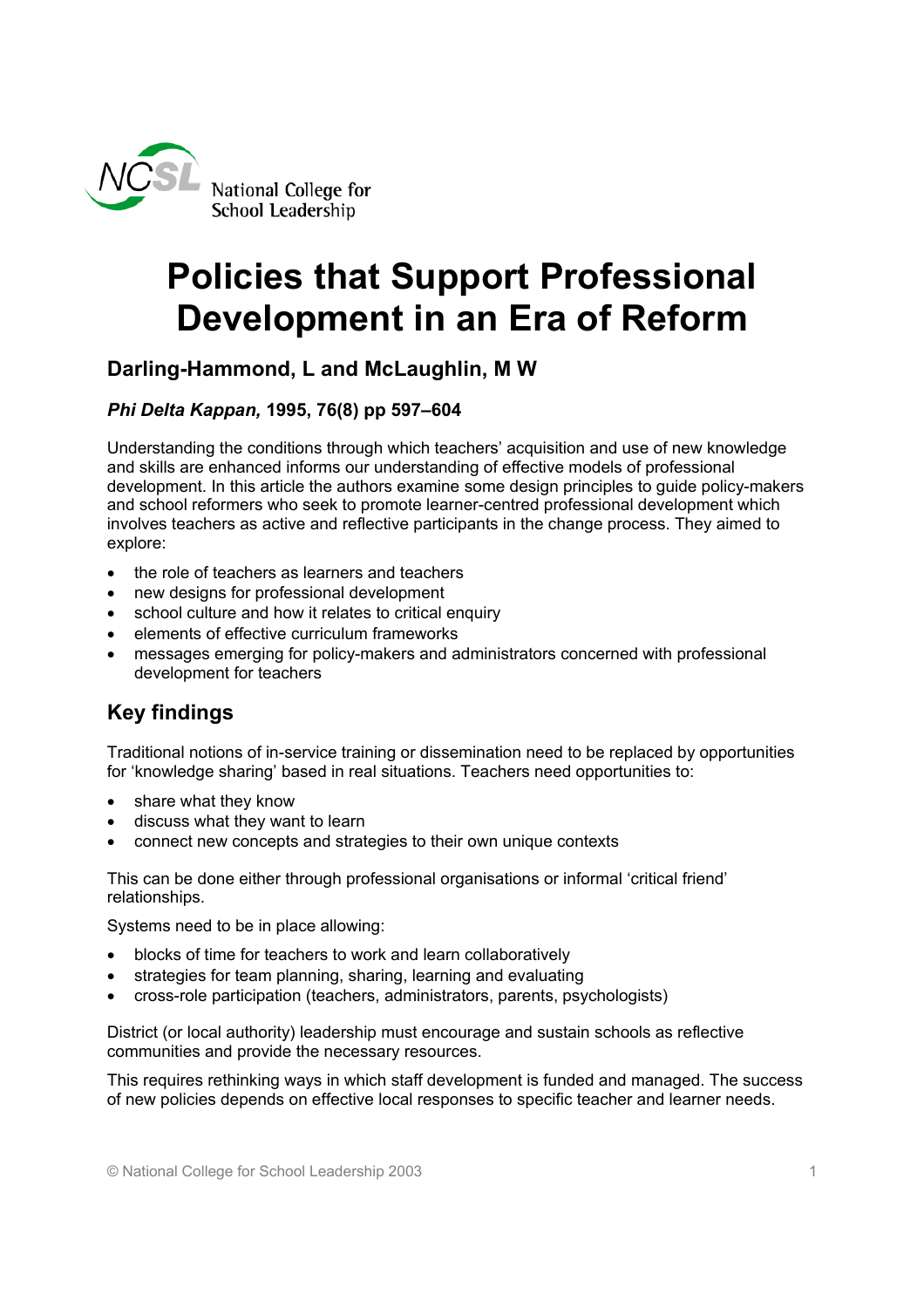

# **Policies that Support Professional Development in an Era of Reform**

## **Darling-Hammond, L and McLaughlin, M W**

#### *Phi Delta Kappan,* **1995, 76(8) pp 597–604**

Understanding the conditions through which teachers' acquisition and use of new knowledge and skills are enhanced informs our understanding of effective models of professional development. In this article the authors examine some design principles to guide policy-makers and school reformers who seek to promote learner-centred professional development which involves teachers as active and reflective participants in the change process. They aimed to explore:

- the role of teachers as learners and teachers
- new designs for professional development
- school culture and how it relates to critical enquiry
- elements of effective curriculum frameworks
- messages emerging for policy-makers and administrators concerned with professional development for teachers

## **Key findings**

Traditional notions of in-service training or dissemination need to be replaced by opportunities for 'knowledge sharing' based in real situations. Teachers need opportunities to:

- share what they know
- discuss what they want to learn
- connect new concepts and strategies to their own unique contexts

This can be done either through professional organisations or informal 'critical friend' relationships.

Systems need to be in place allowing:

- blocks of time for teachers to work and learn collaboratively
- strategies for team planning, sharing, learning and evaluating
- cross-role participation (teachers, administrators, parents, psychologists)

District (or local authority) leadership must encourage and sustain schools as reflective communities and provide the necessary resources.

This requires rethinking ways in which staff development is funded and managed. The success of new policies depends on effective local responses to specific teacher and learner needs.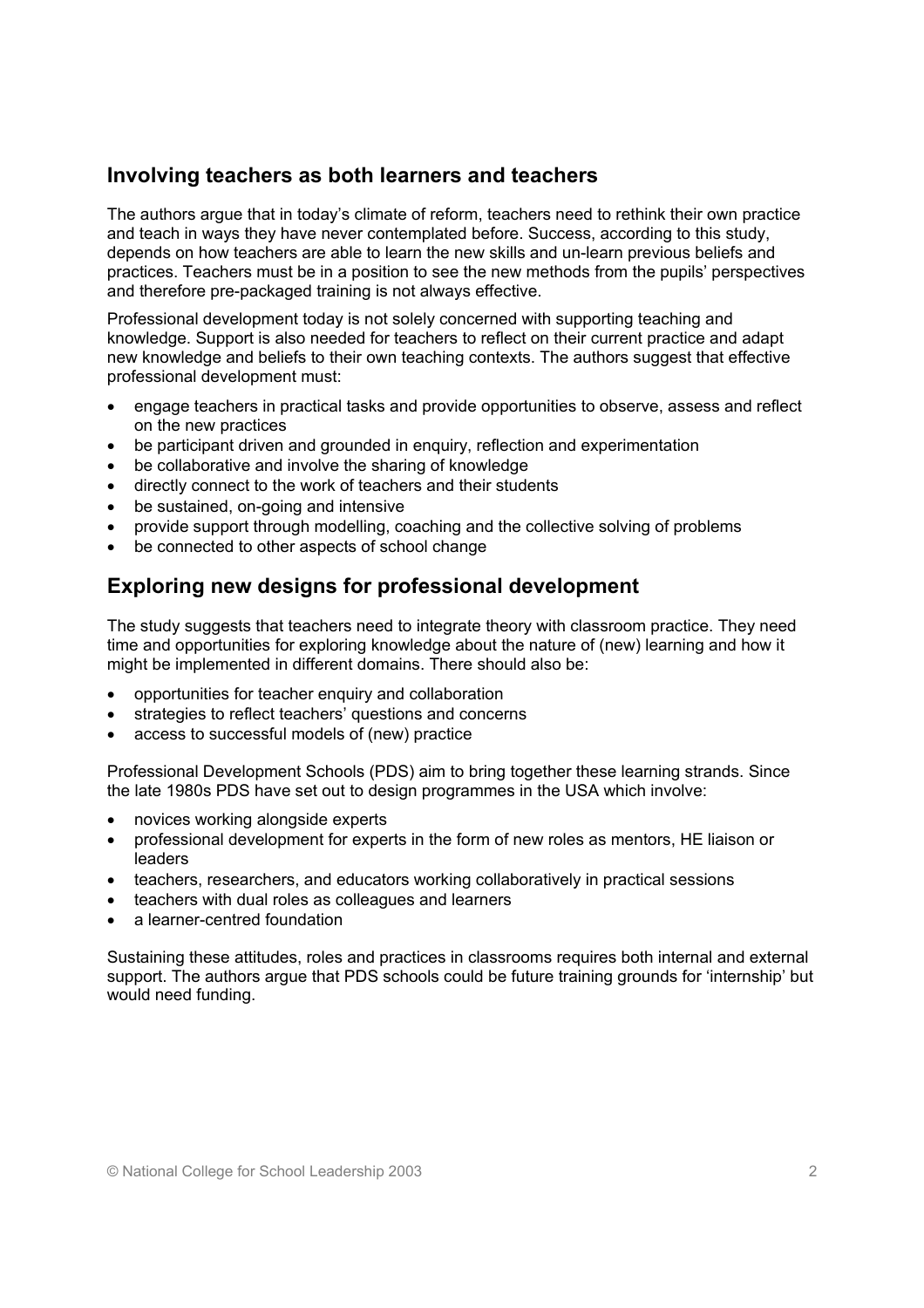#### **Involving teachers as both learners and teachers**

The authors argue that in today's climate of reform, teachers need to rethink their own practice and teach in ways they have never contemplated before. Success, according to this study, depends on how teachers are able to learn the new skills and un-learn previous beliefs and practices. Teachers must be in a position to see the new methods from the pupils' perspectives and therefore pre-packaged training is not always effective.

Professional development today is not solely concerned with supporting teaching and knowledge. Support is also needed for teachers to reflect on their current practice and adapt new knowledge and beliefs to their own teaching contexts. The authors suggest that effective professional development must:

- engage teachers in practical tasks and provide opportunities to observe, assess and reflect on the new practices
- be participant driven and grounded in enquiry, reflection and experimentation
- be collaborative and involve the sharing of knowledge
- directly connect to the work of teachers and their students
- be sustained, on-going and intensive
- provide support through modelling, coaching and the collective solving of problems
- be connected to other aspects of school change

### **Exploring new designs for professional development**

The study suggests that teachers need to integrate theory with classroom practice. They need time and opportunities for exploring knowledge about the nature of (new) learning and how it might be implemented in different domains. There should also be:

- opportunities for teacher enquiry and collaboration
- strategies to reflect teachers' questions and concerns
- access to successful models of (new) practice

Professional Development Schools (PDS) aim to bring together these learning strands. Since the late 1980s PDS have set out to design programmes in the USA which involve:

- novices working alongside experts
- professional development for experts in the form of new roles as mentors, HE liaison or leaders
- teachers, researchers, and educators working collaboratively in practical sessions
- teachers with dual roles as colleagues and learners
- a learner-centred foundation

Sustaining these attitudes, roles and practices in classrooms requires both internal and external support. The authors argue that PDS schools could be future training grounds for 'internship' but would need funding.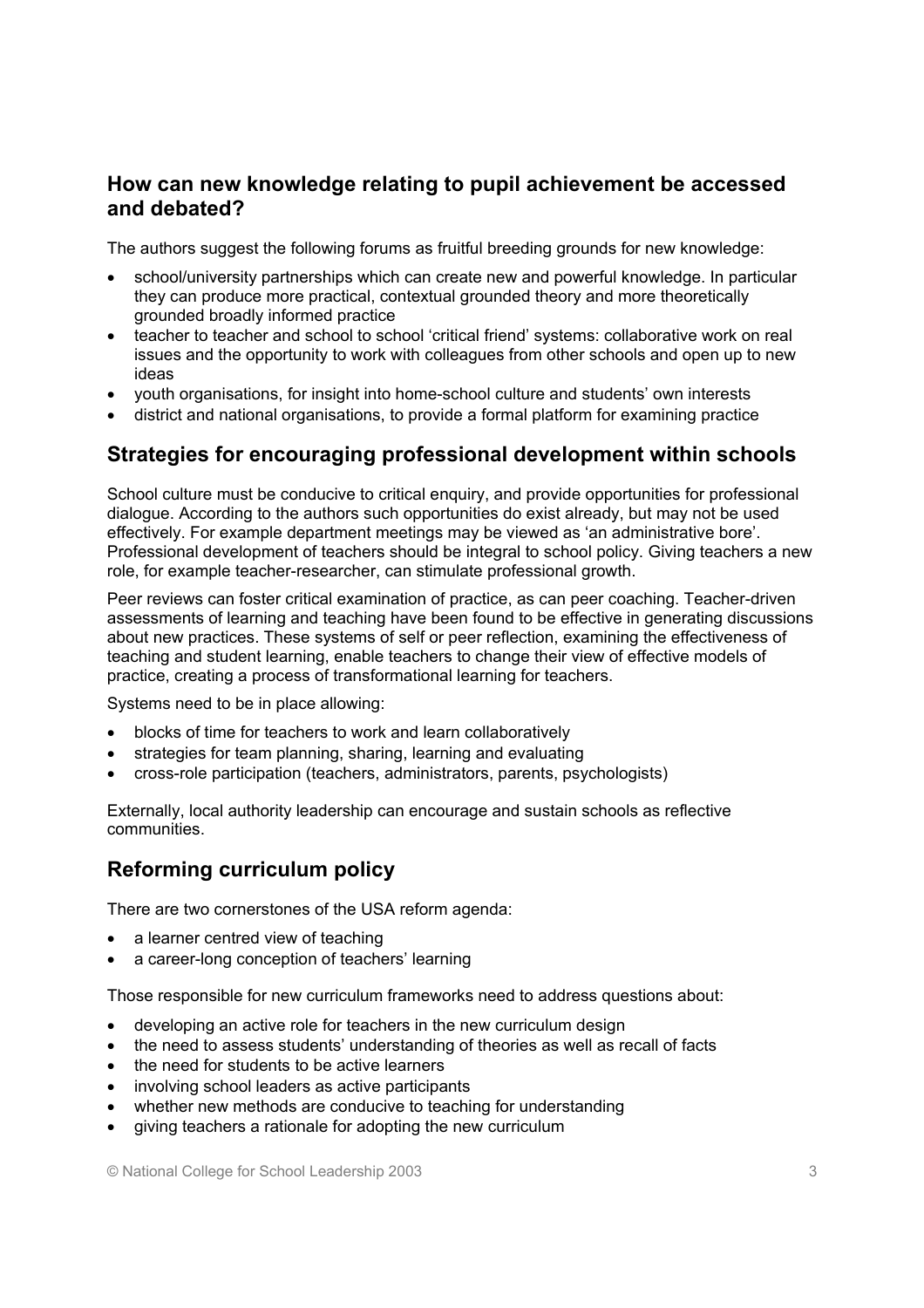#### **How can new knowledge relating to pupil achievement be accessed and debated?**

The authors suggest the following forums as fruitful breeding grounds for new knowledge:

- school/university partnerships which can create new and powerful knowledge. In particular they can produce more practical, contextual grounded theory and more theoretically grounded broadly informed practice
- teacher to teacher and school to school 'critical friend' systems: collaborative work on real issues and the opportunity to work with colleagues from other schools and open up to new ideas
- youth organisations, for insight into home-school culture and students' own interests
- district and national organisations, to provide a formal platform for examining practice

### **Strategies for encouraging professional development within schools**

School culture must be conducive to critical enquiry, and provide opportunities for professional dialogue. According to the authors such opportunities do exist already, but may not be used effectively. For example department meetings may be viewed as 'an administrative bore'. Professional development of teachers should be integral to school policy. Giving teachers a new role, for example teacher-researcher, can stimulate professional growth.

Peer reviews can foster critical examination of practice, as can peer coaching. Teacher-driven assessments of learning and teaching have been found to be effective in generating discussions about new practices. These systems of self or peer reflection, examining the effectiveness of teaching and student learning, enable teachers to change their view of effective models of practice, creating a process of transformational learning for teachers.

Systems need to be in place allowing:

- blocks of time for teachers to work and learn collaboratively
- strategies for team planning, sharing, learning and evaluating
- cross-role participation (teachers, administrators, parents, psychologists)

Externally, local authority leadership can encourage and sustain schools as reflective communities.

### **Reforming curriculum policy**

There are two cornerstones of the USA reform agenda:

- a learner centred view of teaching
- a career-long conception of teachers' learning

Those responsible for new curriculum frameworks need to address questions about:

- developing an active role for teachers in the new curriculum design
- the need to assess students' understanding of theories as well as recall of facts
- the need for students to be active learners
- involving school leaders as active participants
- whether new methods are conducive to teaching for understanding
- giving teachers a rationale for adopting the new curriculum

© National College for School Leadership 2003 3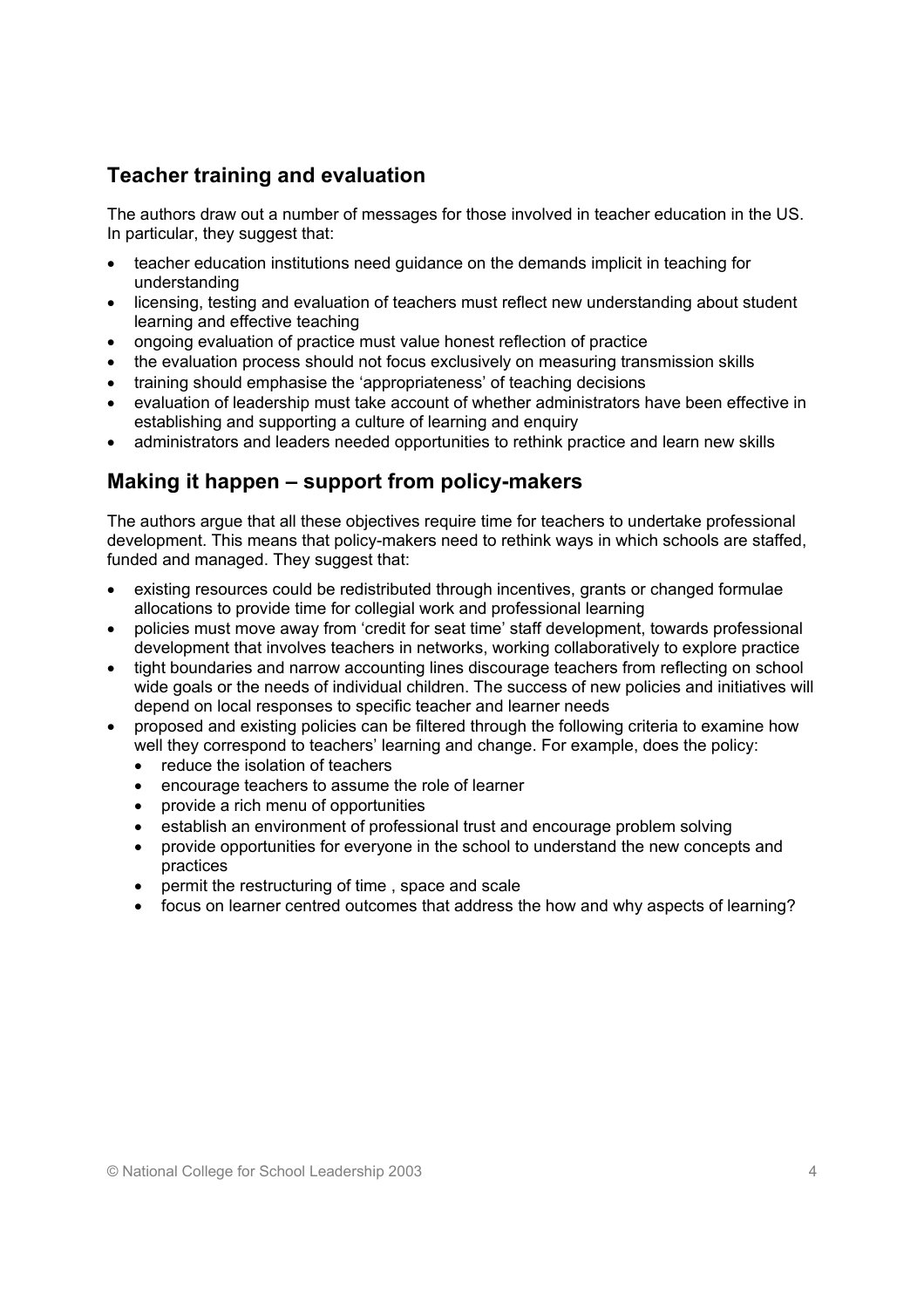## **Teacher training and evaluation**

The authors draw out a number of messages for those involved in teacher education in the US. In particular, they suggest that:

- teacher education institutions need guidance on the demands implicit in teaching for understanding
- licensing, testing and evaluation of teachers must reflect new understanding about student learning and effective teaching
- ongoing evaluation of practice must value honest reflection of practice
- the evaluation process should not focus exclusively on measuring transmission skills
- training should emphasise the 'appropriateness' of teaching decisions
- evaluation of leadership must take account of whether administrators have been effective in establishing and supporting a culture of learning and enquiry
- administrators and leaders needed opportunities to rethink practice and learn new skills

#### **Making it happen – support from policy-makers**

The authors argue that all these objectives require time for teachers to undertake professional development. This means that policy-makers need to rethink ways in which schools are staffed, funded and managed. They suggest that:

- existing resources could be redistributed through incentives, grants or changed formulae allocations to provide time for collegial work and professional learning
- policies must move away from 'credit for seat time' staff development, towards professional development that involves teachers in networks, working collaboratively to explore practice
- tight boundaries and narrow accounting lines discourage teachers from reflecting on school wide goals or the needs of individual children. The success of new policies and initiatives will depend on local responses to specific teacher and learner needs
- proposed and existing policies can be filtered through the following criteria to examine how well they correspond to teachers' learning and change. For example, does the policy:
	- reduce the isolation of teachers
	- encourage teachers to assume the role of learner
	- provide a rich menu of opportunities
	- establish an environment of professional trust and encourage problem solving
	- provide opportunities for everyone in the school to understand the new concepts and practices
	- permit the restructuring of time , space and scale
	- focus on learner centred outcomes that address the how and why aspects of learning?